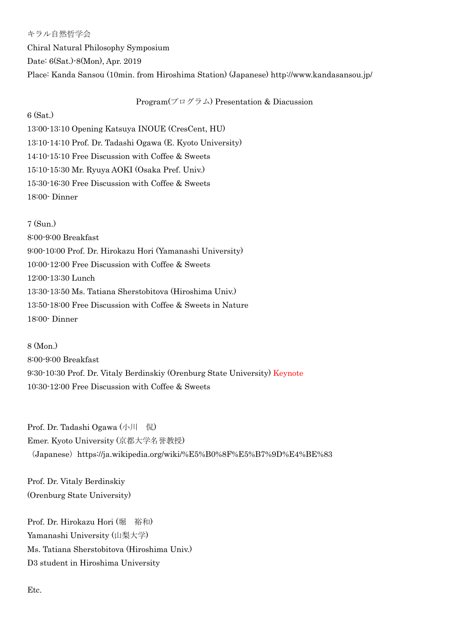キラル自然哲学会 Chiral Natural Philosophy Symposium Date: 6(Sat.)-8(Mon), Apr. 2019 Place: Kanda Sansou (10min. from Hiroshima Station) (Japanese) http://www.kandasansou.jp/

Program $(\mathcal{P} \boxdot \mathcal{P} \neq \mathcal{P})$  Presentation & Diacussion

6 (Sat.)

13:00-13:10 Opening Katsuya INOUE (CresCent, HU) 13:10-14:10 Prof. Dr. Tadashi Ogawa (E. Kyoto University) 14:10-15:10 Free Discussion with Coffee & Sweets 15:10-15:30 Mr. Ryuya AOKI (Osaka Pref. Univ.) 15:30-16:30 Free Discussion with Coffee & Sweets 18:00- Dinner

7 (Sun.) 8:00-9:00 Breakfast 9:00-10:00 Prof. Dr. Hirokazu Hori (Yamanashi University) 10:00-12:00 Free Discussion with Coffee & Sweets 12:00-13:30 Lunch 13:30-13:50 Ms. Tatiana Sherstobitova (Hiroshima Univ.) 13:50-18:00 Free Discussion with Coffee & Sweets in Nature 18:00- Dinner

8 (Mon.) 8:00-9:00 Breakfast 9:30-10:30 Prof. Dr. Vitaly Berdinskiy (Orenburg State University) Keynote 10:30-12:00 Free Discussion with Coffee & Sweets

Prof. Dr. Tadashi Ogawa (小川 侃) Emer. Kyoto University (京都大学名誉教授) (Japanese) https://ja.wikipedia.org/wiki/%E5%B0%8F%E5%B7%9D%E4%BE%83

Prof. Dr. Vitaly Berdinskiy (Orenburg State University)

Prof. Dr. Hirokazu Hori (堀 裕和) Yamanashi University (山梨大学) Ms. Tatiana Sherstobitova (Hiroshima Univ.) D3 student in Hiroshima University

Etc.